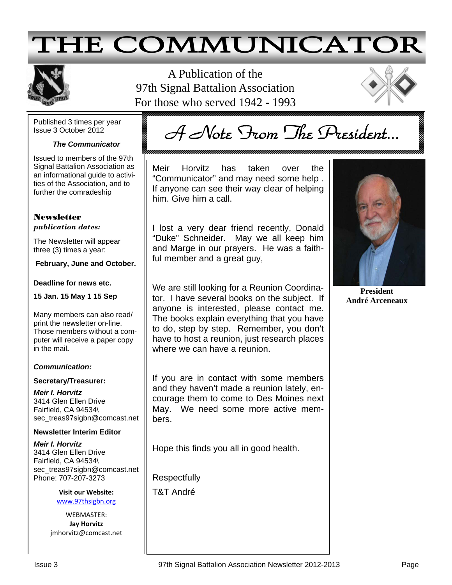# **THE COMMUNICATOR**



A Publication of the 97th Signal Battalion Association For those who served 1942 - 1993



Published 3 times per year Issue 3 October 2012

## *The Communicator*

A Note From The President...

**I**ssued to members of the 97th Signal Battalion Association as an informational guide to activities of the Association, and to further the comradeship

## **Newsletter** *publication dates:*

The Newsletter will appear three (3) times a year:

**February, June and October.** 

#### **Deadline for news etc.**

**15 Jan. 15 May 1 15 Sep** 

Many members can also read/ print the newsletter on-line. Those members without a computer will receive a paper copy in the mail**.** 

### *Communication:*

#### **Secretary/Treasurer:**

*Meir I. Horvitz*  3414 Glen Ellen Drive Fairfield, CA 94534\ sec\_treas97sigbn@comcast.net

### **Newsletter Interim Editor**

*Meir I. Horvitz*  3414 Glen Ellen Drive Fairfield, CA 94534\ sec\_treas97sigbn@comcast.net Phone: 707-207-3273

> **Visit our Website:**  www.97thsigbn.org

WEBMASTER: **Jay Horvitz**  jmhorvitz@comcast.net Meir Horvitz has taken over the "Communicator" and may need some help . If anyone can see their way clear of helping him. Give him a call.

I lost a very dear friend recently, Donald "Duke" Schneider. May we all keep him and Marge in our prayers. He was a faithful member and a great guy,

We are still looking for a Reunion Coordinator. I have several books on the subject. If anyone is interested, please contact me. The books explain everything that you have to do, step by step. Remember, you don't have to host a reunion, just research places where we can have a reunion.

If you are in contact with some members and they haven't made a reunion lately, encourage them to come to Des Moines next May. We need some more active members.

Hope this finds you all in good health.

**Respectfully** 

T&T André



**President André Arceneaux**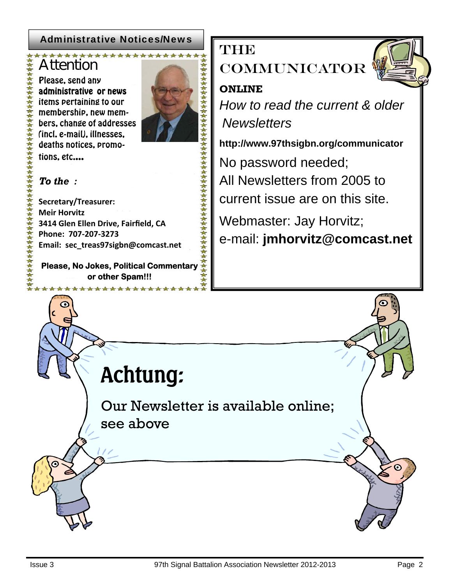## Administrative Notices/News

## \*\*\*\*\*\*\*\*\*\*\*\*\*\* Attention

Please, send any administrative or news items pertaining to our membership, new members, change of addresses (incl. e-mail), illnesses, deaths notices, promotions, etc....

## *To the :*

**Secretary/Treasurer: Meir Horvitz 3414 Glen Ellen Drive, Fairfield, CA Phone: 707-207-3273 Email: sec\_treas97sigbn@comcast.net** 

**Please, No Jokes, Political Commentary or other Spam!!!** 

\*\*\*\*\*\*\*\*\*\*\*\*\*\*

THE

**COMMUNICATOR** 

## **ONLINE**

*How to read the current & older Newsletters* 

**http://www.97thsigbn.org/communicator** 

No password needed;

All Newsletters from 2005 to

current issue are on this site.

Webmaster: Jay Horvitz;

e-mail: **jmhorvitz@comcast.net** 

**Achtung:**

Our Newsletter is available online; see above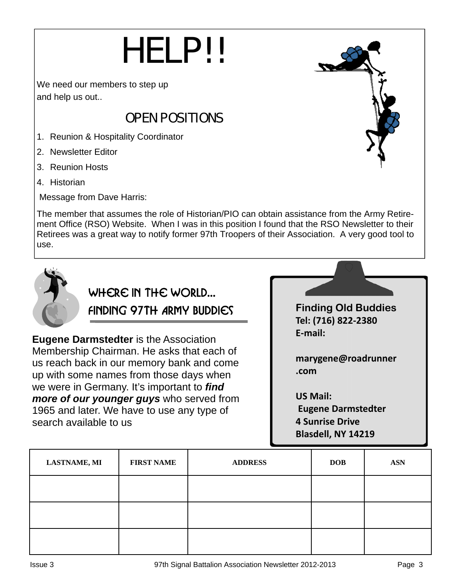# **HELP!!**

We need our members to step up and help us out..

## **OPEN POSITIONS**

- 1. Reunion & Hospitality Coordinator
- 2. Newsletter Editor
- 3. Reunion Hosts
- 4. Historian

Message from Dave Harris:

The member that assumes the role of Historian/PIO can obtain assistance from the Army Retirement Office (RSO) Website. When I was in this position I found that the RSO Newsletter to their Retirees was a great way to notify former 97th Troopers of their Association. A very good tool to use.



## Where in the World… Finding 97th Army Buddies

**Eugene Darmstedter** is the Association Membership Chairman. He asks that each of us reach back in our memory bank and come up with some names from those days when we were in Germany. It's important to *find more of our younger guys* who served from 1965 and later. We have to use any type of search available to us

**Finding Old Buddies Tel: (716) 822-2380 E-mail:** 

**marygene@roadrunner .com** 

**US Mail: Eugene Darmstedter 4 Sunrise Drive Blasdell, NY 14219**

| <b>LASTNAME, MI</b> | <b>FIRST NAME</b> | <b>ADDRESS</b> | <b>DOB</b> | <b>ASN</b> |
|---------------------|-------------------|----------------|------------|------------|
|                     |                   |                |            |            |
|                     |                   |                |            |            |
|                     |                   |                |            |            |

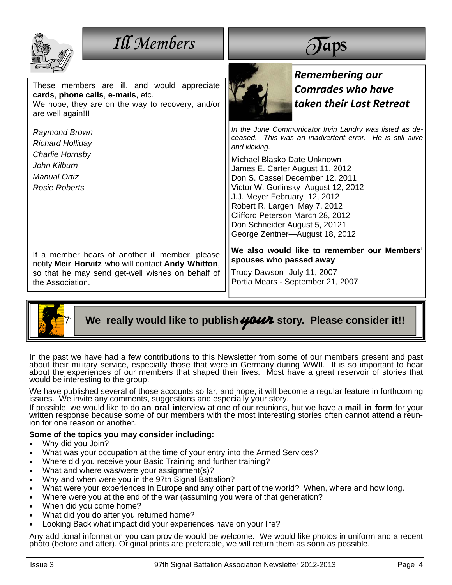| <b>Ill</b> Members                                                                                                                                                            |                                                                                                                                                                                                                                                                                                                                                                                                                                                        |  |
|-------------------------------------------------------------------------------------------------------------------------------------------------------------------------------|--------------------------------------------------------------------------------------------------------------------------------------------------------------------------------------------------------------------------------------------------------------------------------------------------------------------------------------------------------------------------------------------------------------------------------------------------------|--|
| These members are ill, and would appreciate<br>cards, phone calls, e-mails, etc.<br>We hope, they are on the way to recovery, and/or<br>are well again!!!                     | Remembering our<br><b>Comrades who have</b><br>taken their Last Retreat                                                                                                                                                                                                                                                                                                                                                                                |  |
| <b>Raymond Brown</b><br><b>Richard Holliday</b><br>Charlie Hornsby<br>John Kilburn<br><b>Manual Ortiz</b><br>Rosie Roberts                                                    | In the June Communicator Irvin Landry was listed as de-<br>ceased. This was an inadvertent error. He is still alive<br>and kicking.<br>Michael Blasko Date Unknown<br>James E. Carter August 11, 2012<br>Don S. Cassel December 12, 2011<br>Victor W. Gorlinsky August 12, 2012<br>J.J. Meyer February 12, 2012<br>Robert R. Largen May 7, 2012<br>Clifford Peterson March 28, 2012<br>Don Schneider August 5, 20121<br>George Zentner-August 18, 2012 |  |
| If a member hears of another ill member, please<br>notify Meir Horvitz who will contact Andy Whitton,<br>so that he may send get-well wishes on behalf of<br>the Association. | We also would like to remember our Members'<br>spouses who passed away<br>Trudy Dawson July 11, 2007<br>Portia Mears - September 21, 2007                                                                                                                                                                                                                                                                                                              |  |



We really would like to publish **your** story. Please consider it!!

In the past we have had a few contributions to this Newsletter from some of our members present and past about their military service, especially those that were in Germany during WWII. It is so important to hear about the experiences of our members that shaped their lives. Most have a great reservoir of stories that would be interesting to the group.

We have published several of those accounts so far, and hope, it will become a regular feature in forthcoming issues. We invite any comments, suggestions and especially your story.

If possible, we would like to do an oral interview at one of our reunions, but we have a mail in form for your<br>written response because some of our members with the most interesting stories often cannot attend a reunion for one reason or another.

#### **Some of the topics you may consider including:**

- Why did you Join?
- What was your occupation at the time of your entry into the Armed Services?
- Where did you receive your Basic Training and further training?
- What and where was/were your assignment(s)?
- Why and when were you in the 97th Signal Battalion?
- What were your experiences in Europe and any other part of the world? When, where and how long.
- Where were you at the end of the war (assuming you were of that generation?
- When did you come home?
- What did you do after you returned home?
- Looking Back what impact did your experiences have on your life?

Any additional information you can provide would be welcome. We would like photos in uniform and a recent photo (before and after). Original prints are preferable, we will return them as soon as possible.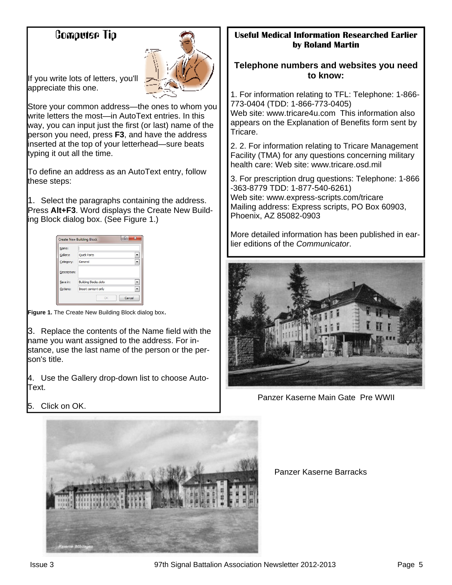## Computer Tip



If you write lots of letters, you'll appreciate this one.

Store your common address—the ones to whom you write letters the most—in AutoText entries. In this way, you can input just the first (or last) name of the person you need, press **F3**, and have the address inserted at the top of your letterhead—sure beats typing it out all the time.

To define an address as an AutoText entry, follow these steps:

1. Select the paragraphs containing the address. Press **Alt+F3**. Word displays the Create New Building Block dialog box. (See Figure 1.)

| Name:        |                              |  |
|--------------|------------------------------|--|
| Gallery:     | <b>Quick Parts</b>           |  |
| Category:    | General                      |  |
| Description: |                              |  |
| Save in:     | <b>Building Blocks, dotx</b> |  |
| Options:     | Insert content only          |  |

**Figure 1.** The Create New Building Block dialog box.

3. Replace the contents of the Name field with the name you want assigned to the address. For instance, use the last name of the person or the person's title.

4. Use the Gallery drop-down list to choose Auto-**T**ext.

## **Useful Medical Information Researched Earlier by Roland Martin**

## **Telephone numbers and websites you need to know:**

1. For information relating to TFL: Telephone: 1-866- 773-0404 (TDD: 1-866-773-0405) Web site: www.tricare4u.com This information also appears on the Explanation of Benefits form sent by Tricare.

2. 2. For information relating to Tricare Management Facility (TMA) for any questions concerning military health care: Web site: www.tricare.osd.mil

3. For prescription drug questions: Telephone: 1-866 -363-8779 TDD: 1-877-540-6261) Web site: www.express-scripts.com/tricare Mailing address: Express scripts, PO Box 60903, Phoenix, AZ 85082-0903

More detailed information has been published in earlier editions of the *Communicator*.



Panzer Kaserne Main Gate Pre WWII

Panzer Kaserne Barracks

5. Click on OK.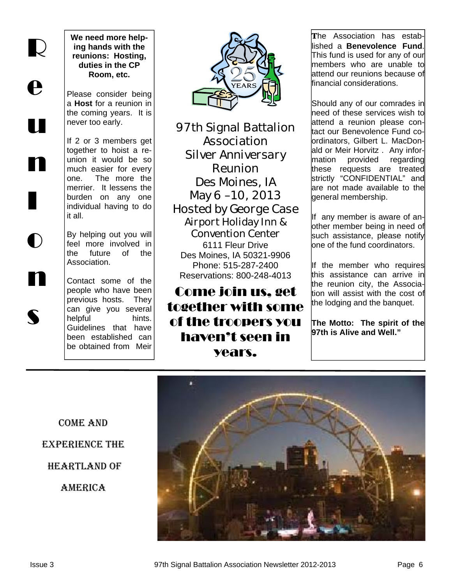R e u n I o n

s

**We need more helping hands with the reunions: Hosting, duties in the CP Room, etc.** 

Please consider being a **Host** for a reunion in the coming years. It is never too early.

If 2 or 3 members get together to hoist a reunion it would be so much easier for every one. The more the merrier. It lessens the burden on any one individual having to do it all.

By helping out you will feel more involved in the future of the Association.

Contact some of the people who have been previous hosts. They can give you several helpful hints. Guidelines that have been established can be obtained from Meir



97th Signal Battalion Association Silver Anniversary Reunion Des Moines, IA May 6 –10, 2013 Hosted by George Case Airport Holiday Inn & Convention Center

6111 Fleur Drive Des Moines, IA 50321-9906 Phone: 515-287-2400 Reservations: 800-248-4013

## Come join us, get together with some of the troopers you haven't seen in years.

The Association has established a **Benevolence Fund**. This fund is used for any of our members who are unable to attend our reunions because of financial considerations.

Should any of our comrades in need of these services wish to attend a reunion please contact our Benevolence Fund coordinators, Gilbert L. MacDonald or Meir Horvitz . Any information provided regarding these requests are treated strictly "CONFIDENTIAL" and are not made available to the general membership.

If any member is aware of another member being in need of such assistance, please notify one of the fund coordinators.

If the member who requires this assistance can arrive in the reunion city, the Association will assist with the cost of the lodging and the banquet.

**The Motto: The spirit of the 97th is Alive and Well."** 

Come and experience the Heartland of **AMERICA**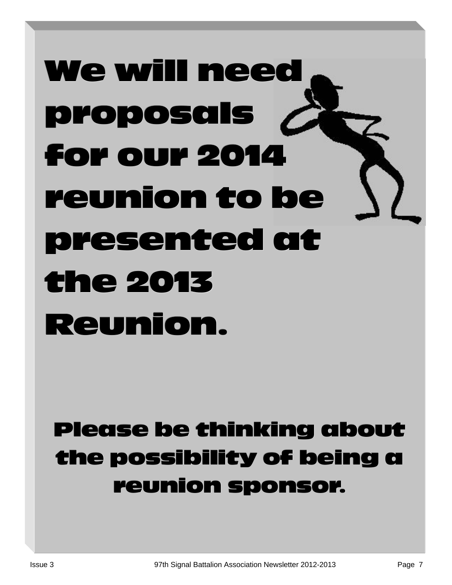# We will need proposals proposals for our 2014 for our 2014 reunion to be presented at presented at the 2013 Reunion.

## Please be thinking about Please be thinking about the possibility of being a reunion sponsor.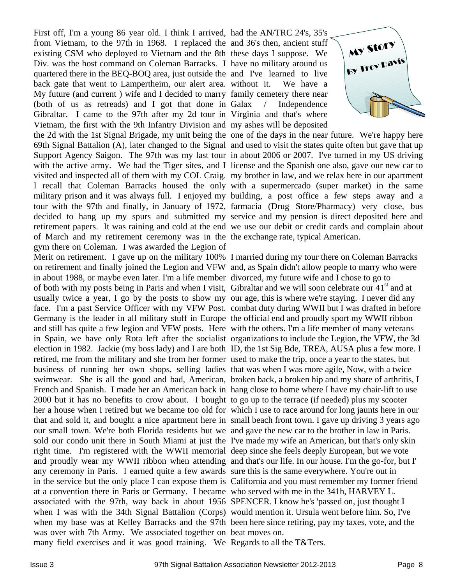First off, I'm a young 86 year old. I think I arrived, had the AN/TRC 24's, 35's from Vietnam, to the 97th in 1968. I replaced the and 36's then, ancient stuff existing CSM who deployed to Vietnam and the 8th these days I suppose. We Div. was the host command on Coleman Barracks. I have no military around us quartered there in the BEQ-BOQ area, just outside the and I've learned to live back gate that went to Lampertheim, our alert area. without it. We have a My future (and current ) wife and I decided to marry family cemetery there near (both of us as retreads) and I got that done in Galax / Gibraltar. I came to the 97th after my 2d tour in Virginia and that's where Vietnam, the first with the 9th Infantry Division and my ashes will be deposited the 2d with the 1st Signal Brigade, my unit being the one of the days in the near future. We're happy here 69th Signal Battalion (A), later changed to the Signal and used to visit the states quite often but gave that up Support Agency Saigon. The 97th was my last tour in about 2006 or 2007. I've turned in my US driving with the active army. We had the Tiger sites, and I license and the Spanish one also, gave our new car to visited and inspected all of them with my COL Craig. my brother in law, and we relax here in our apartment I recall that Coleman Barracks housed the only with a supermercado (super market) in the same military prison and it was always full. I enjoyed my building, a post office a few steps away and a tour with the 97th and finally, in January of 1972, farmacia (Drug Store/Pharmacy) very close, bus decided to hang up my spurs and submitted my service and my pension is direct deposited here and retirement papers. It was raining and cold at the end we use our debit or credit cards and complain about of March and my retirement ceremony was in the the exchange rate, typical American. gym there on Coleman. I was awarded the Legion of Merit on retirement. I gave up on the military 100% I married during my tour there on Coleman Barracks on retirement and finally joined the Legion and VFW and, as Spain didn't allow people to marry who were in about 1988, or maybe even later. I'm a life member divorced, my future wife and I chose to go to of both with my posts being in Paris and when I visit, Gibraltar and we will soon celebrate our 41<sup>st</sup> and at usually twice a year, I go by the posts to show my our age, this is where we're staying. I never did any face. I'm a past Service Officer with my VFW Post. combat duty during WWII but I was drafted in before Germany is the leader in all military stuff in Europe the official end and proudly sport my WWII ribbon and still has quite a few legion and VFW posts. Here with the others. I'm a life member of many veterans in Spain, we have only Rota left after the socialist organizations to include the Legion, the VFW, the 3d election in 1982. Jackie (my boss lady) and I are both ID, the 1st Sig Bde, TREA, AUSA plus a few more. I retired, me from the military and she from her former used to make the trip, once a year to the states, but business of running her own shops, selling ladies that was when I was more agile, Now, with a twice swimwear. She is all the good and bad, American, broken back, a broken hip and my share of arthritis, I French and Spanish. I made her an American back in hang close to home where I have my chair-lift to use 2000 but it has no benefits to crow about. I bought to go up to the terrace (if needed) plus my scooter her a house when I retired but we became too old for which I use to race around for long jaunts here in our that and sold it, and bought a nice apartment here in small beach front town. I gave up driving 3 years ago our small town. We're both Florida residents but we and gave the new car to the brother in law in Paris. sold our condo unit there in South Miami at just the I've made my wife an American, but that's only skin right time. I'm registered with the WWII memorial deep since she feels deeply European, but we vote and proudly wear my WWII ribbon when attending and that's our life. In our house. I'm the go-for, but I' any ceremony in Paris. I earned quite a few awards sure this is the same everywhere. You're out in in the service but the only place I can expose them is California and you must remember my former friend at a convention there in Paris or Germany. I became who served with me in the 341h, HARVEY L. associated with the 97th, way back in about 1956 SPENCER. I know he's 'passed on, just thought I when I was with the 34th Signal Battalion (Corps) would mention it. Ursula went before him. So, I've when my base was at Kelley Barracks and the 97th been here since retiring, pay my taxes, vote, and the was over with 7th Army. We associated together on beat moves on. many field exercises and it was good training. We Regards to all the T&Ters.

Independence

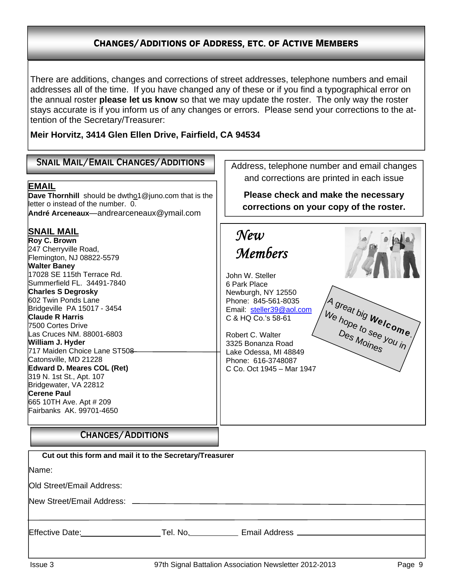## Changes/Additions of Address, etc. of Active Members

There are additions, changes and corrections of street addresses, telephone numbers and email addresses all of the time. If you have changed any of these or if you find a typographical error on the annual roster **please let us know** so that we may update the roster. The only way the roster stays accurate is if you inform us of any changes or errors. Please send your corrections to the attention of the Secretary/Treasurer:

**Meir Horvitz, 3414 Glen Ellen Drive, Fairfield, CA 94534** 

| <b>SNAIL MAIL/EMAIL CHANGES/ADDITIONS</b><br><b>EMAIL</b><br>Dave Thornhill should be dwthol @juno.com that is the<br>letter o instead of the number. 0.<br>André Arceneaux-andrearceneaux@ymail.com<br><b>SNAIL MAIL</b><br>Roy C. Brown<br>247 Cherryville Road,<br>Flemington, NJ 08822-5579<br><b>Walter Baney</b><br>17028 SE 115th Terrace Rd.<br>Summerfield FL. 34491-7840<br><b>Charles S Degrosky</b><br>602 Twin Ponds Lane<br>Bridgeville PA 15017 - 3454<br><b>Claude R Harris</b><br>7500 Cortes Drive<br>Las Cruces NM. 88001-6803<br>William J. Hyder<br>717 Maiden Choice Lane ST508<br>Catonsville, MD 21228<br><b>Edward D. Meares COL (Ret)</b><br>319 N. 1st St., Apt. 107<br>Bridgewater, VA 22812<br><b>Cerene Paul</b><br>665 10TH Ave. Apt # 209<br>Fairbanks AK. 99701-4650<br><b>CHANGES/ADDITIONS</b><br>Cut out this form and mail it to the Secretary/Treasurer<br>Name:<br>Old Street/Email Address: | Address, telephone number and email changes<br>and corrections are printed in each issue<br>Please check and make the necessary<br>corrections on your copy of the roster.<br>$\mathcal{N}$ e $\mathcal{W}$<br><b>Members</b><br>John W. Steller<br>6 Park Place<br>Newburgh, NY 12550<br>Phone: 845-561-8035<br>A great big Welcome.<br>Email: steller39@aol.com<br>C & HQ Co.'s 58-61<br>Robert C. Walter<br>3325 Bonanza Road<br>Lake Odessa, MI 48849<br>Phone: 616-3748087<br>C Co. Oct 1945 - Mar 1947 |
|-------------------------------------------------------------------------------------------------------------------------------------------------------------------------------------------------------------------------------------------------------------------------------------------------------------------------------------------------------------------------------------------------------------------------------------------------------------------------------------------------------------------------------------------------------------------------------------------------------------------------------------------------------------------------------------------------------------------------------------------------------------------------------------------------------------------------------------------------------------------------------------------------------------------------------------|--------------------------------------------------------------------------------------------------------------------------------------------------------------------------------------------------------------------------------------------------------------------------------------------------------------------------------------------------------------------------------------------------------------------------------------------------------------------------------------------------------------|
|                                                                                                                                                                                                                                                                                                                                                                                                                                                                                                                                                                                                                                                                                                                                                                                                                                                                                                                                     |                                                                                                                                                                                                                                                                                                                                                                                                                                                                                                              |
|                                                                                                                                                                                                                                                                                                                                                                                                                                                                                                                                                                                                                                                                                                                                                                                                                                                                                                                                     | Effective Date: ______________________Tel. No. _____________ Email Address _________________________                                                                                                                                                                                                                                                                                                                                                                                                         |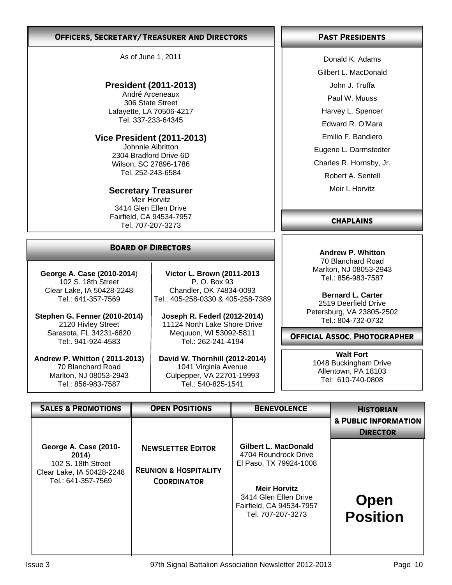#### OFFICERS, SECRETARY/TREASURER AND DIRECTORS PAST PRESIDENTS

As of June 1, 2011

## **President (2011-2013)**

André Arceneaux 306 State Street Lafayette, LA 70506-4217 Tel. 337-233-64345

## **Vice President (2011-2013)**

Johnnie Albritton 2304 Bradford Drive 6D Wilson, SC 27896-1786 Tel. 252-243-6584

### **Secretary Treasurer**

Meir Horvitz 3414 Glen Ellen Drive Fairfield, CA 94534-7957 Tel. 707-207-3273

## Board of Directors

**George A. Case (2010-2014**) 102 S. 18th Street Clear Lake, IA 50428-2248 Tel.: 641-357-7569

**Stephen G. Fenner (2010-2014)**  2120 Hivley Street Sarasota, FL 34231-6820 Tel:. 941-924-4583

**Andrew P. Whitton ( 2011-2013)** 70 Blanchard Road Marlton, NJ 08053-2943 Tel.: 856-983-7587

**Victor L. Brown (2011-2013** P. O. Box 93 Chandler, OK 74834-0093 Tel.: 405-258-0330 & 405-258-7389

**Joseph R. Federl (2012-2014)**  11124 North Lake Shore Drive Mequuon, WI 53092-5811 Tel.: 262-241-4194

**David W. Thornhill (2012-2014)** 1041 Virginia Avenue Culpepper, VA 22701-19993 Tel.: 540-825-1541

Donald K. Adams

Gilbert L. MacDonald

John J. Truffa

Paul W. Muuss

Harvey L. Spencer

Edward R. O'Mara

Emilio F. Bandiero

Eugene L. Darmstedter

Charles R. Hornsby, Jr.

Robert A. Sentell

Meir I. Horvitz

## **CHAPLAINS**

**Andrew P. Whitton**  70 Blanchard Road Marlton, NJ 08053-2943 Tel.: 856-983-7587

**Bernard L. Carter** 2519 Deerfield Drive Petersburg, VA 23805-2502 Tel.: 804-732-0732

Official Assoc. Photographer

**Walt Fort**  1048 Buckingham Drive Allentown, PA 18103 Tel: 610-740-0808

| <b>SALES &amp; PROMOTIONS</b>                                                                           | <b>OPEN POSITIONS</b>                                                              | <b>BENEVOLENCE</b>                                                                                                                                                             | <b>HISTORIAN</b>                                   |
|---------------------------------------------------------------------------------------------------------|------------------------------------------------------------------------------------|--------------------------------------------------------------------------------------------------------------------------------------------------------------------------------|----------------------------------------------------|
|                                                                                                         |                                                                                    |                                                                                                                                                                                | <b>&amp; PUBLIC INFORMATION</b><br><b>DIRECTOR</b> |
| George A. Case (2010-<br>2014)<br>102 S. 18th Street<br>Clear Lake, IA 50428-2248<br>Tel.: 641-357-7569 | <b>NEWSLETTER EDITOR</b><br><b>REUNION &amp; HOSPITALITY</b><br><b>COORDINATOR</b> | <b>Gilbert L. MacDonald</b><br>4704 Roundrock Drive<br>El Paso, TX 79924-1008<br><b>Meir Horvitz</b><br>3414 Glen Ellen Drive<br>Fairfield, CA 94534-7957<br>Tel. 707-207-3273 | <b>Open</b><br><b>Position</b>                     |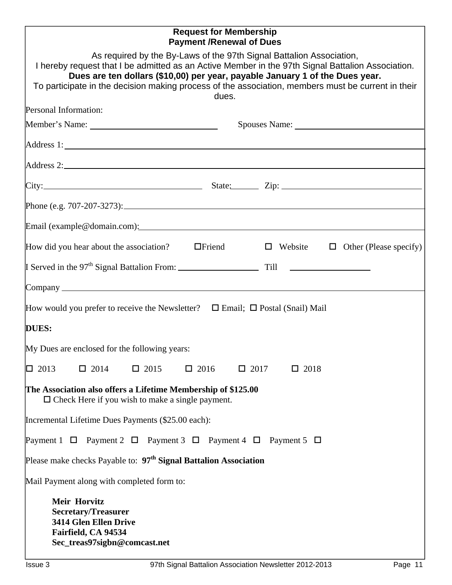## **Request for Membership Payment /Renewal of Dues**

| As required by the By-Laws of the 97th Signal Battalion Association,<br>I hereby request that I be admitted as an Active Member in the 97th Signal Battalion Association.<br>Dues are ten dollars (\$10,00) per year, payable January 1 of the Dues year.<br>To participate in the decision making process of the association, members must be current in their<br>dues. |
|--------------------------------------------------------------------------------------------------------------------------------------------------------------------------------------------------------------------------------------------------------------------------------------------------------------------------------------------------------------------------|
| Personal Information:                                                                                                                                                                                                                                                                                                                                                    |
|                                                                                                                                                                                                                                                                                                                                                                          |
| Address 1:                                                                                                                                                                                                                                                                                                                                                               |
| Address 2:                                                                                                                                                                                                                                                                                                                                                               |
|                                                                                                                                                                                                                                                                                                                                                                          |
| Phone (e.g. $707-207-3273$ ):                                                                                                                                                                                                                                                                                                                                            |
| Email (example@domain.com): example@individeo.com/                                                                                                                                                                                                                                                                                                                       |
| How did you hear about the association?<br>$\Box$ Friend<br>$\Box$ Website $\Box$ Other (Please specify)                                                                                                                                                                                                                                                                 |
|                                                                                                                                                                                                                                                                                                                                                                          |
|                                                                                                                                                                                                                                                                                                                                                                          |
| How would you prefer to receive the Newsletter? $\Box$ Email; $\Box$ Postal (Snail) Mail                                                                                                                                                                                                                                                                                 |
| <b>DUES:</b>                                                                                                                                                                                                                                                                                                                                                             |
| My Dues are enclosed for the following years:                                                                                                                                                                                                                                                                                                                            |
| $\Box$ 2013 $\Box$ 2014 $\Box$ 2015<br>$\Box$ 2016 $\Box$ 2017<br>$\Box$ 2018                                                                                                                                                                                                                                                                                            |
| The Association also offers a Lifetime Membership of \$125.00<br>$\Box$ Check Here if you wish to make a single payment.                                                                                                                                                                                                                                                 |
| Incremental Lifetime Dues Payments (\$25.00 each):                                                                                                                                                                                                                                                                                                                       |
| Payment 1 $\Box$ Payment 2 $\Box$ Payment 3 $\Box$ Payment 4 $\Box$ Payment 5 $\Box$                                                                                                                                                                                                                                                                                     |
| Please make checks Payable to: 97 <sup>th</sup> Signal Battalion Association                                                                                                                                                                                                                                                                                             |
| Mail Payment along with completed form to:                                                                                                                                                                                                                                                                                                                               |
| <b>Meir Horvitz</b><br><b>Secretary/Treasurer</b><br><b>3414 Glen Ellen Drive</b><br>Fairfield, CA 94534<br>Sec_treas97sigbn@comcast.net                                                                                                                                                                                                                                 |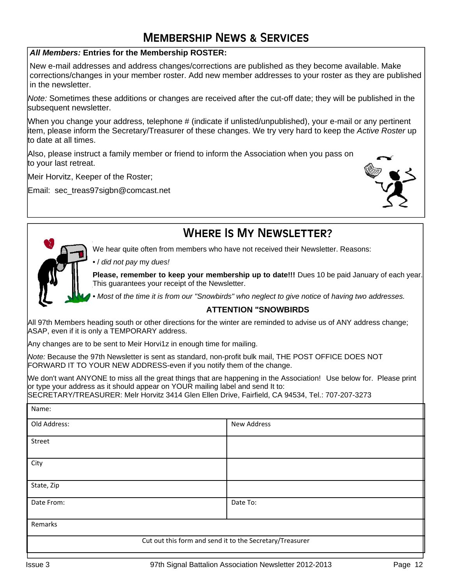## Membership News & Services

### *All Members:* **Entries for the Membership ROSTER:**

New e-mail addresses and address changes/corrections are published as they become available. Make corrections/changes in your member roster. Add new member addresses to your roster as they are published in the newsletter.

*Note:* Sometimes these additions or changes are received after the cut-off date; they will be published in the subsequent newsletter.

When you change your address, telephone # (indicate if unlisted/unpublished), your e-mail or any pertinent item, please inform the Secretary/Treasurer of these changes. We try very hard to keep the *Active Roster* up to date at all times.

Also, please instruct a family member or friend to inform the Association when you pass on to your last retreat.

Meir Horvitz, Keeper of the Roster;

Email: sec\_treas97sigbn@comcast.net





## WHERE IS MY NEWSLETTER?

We hear quite often from members who have not received their Newsletter. Reasons:

• / *did not pay* my *dues!* 

**Please, remember to keep your membership up to date!!!** Dues 10 be paid January of each year. This guarantees your receipt of the Newsletter.

*• Most* of *the time it is from our "Snowbirds" who neglect to give notice* of *having two addresses.* 

### **ATTENTION "SNOWBIRDS**

All 97th Members heading south or other directions for the winter are reminded to advise us of ANY address change; ASAP, even if it is only a TEMPORARY address.

Any changes are to be sent to Meir Horvi1z in enough time for mailing.

*Note:* Because the 97th Newsletter is sent as standard, non-profit bulk mail, THE POST OFFICE DOES NOT FORWARD IT TO YOUR NEW ADDRESS-even if you notify them of the change.

We don't want ANYONE to miss all the great things that are happening in the Association! Use below for. Please print or type your address as it should appear on YOUR mailing label and send It to:

SECRETARY/TREASURER: Melr Horvitz 3414 Glen Ellen Drive, Fairfield, CA 94534, Tel.: 707-207-3273

| inditie:                                                 |                    |  |
|----------------------------------------------------------|--------------------|--|
| Old Address:                                             | <b>New Address</b> |  |
| Street                                                   |                    |  |
| City                                                     |                    |  |
| State, Zip                                               |                    |  |
| Date From:                                               | Date To:           |  |
| Remarks                                                  |                    |  |
| Cut out this form and send it to the Secretary/Treasurer |                    |  |

 $N = 1$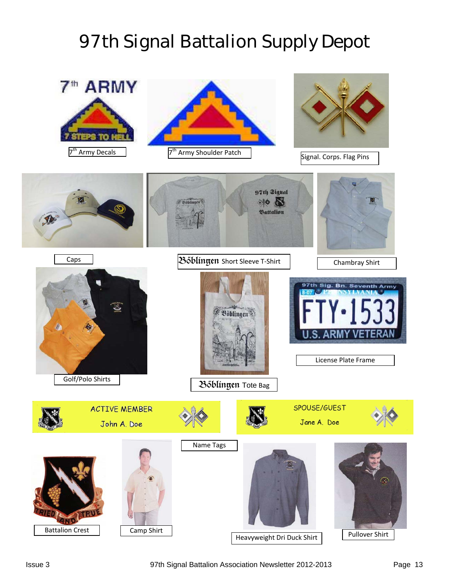## 97th Signal Battalion Supply Depot